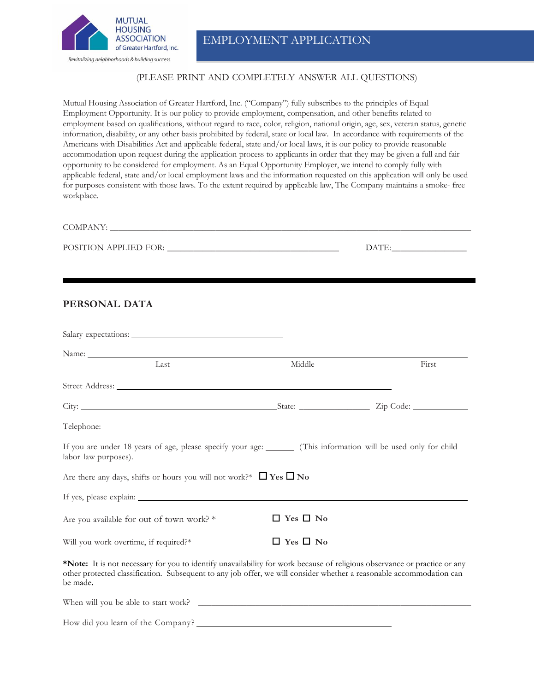

EMPLOYMENT APPLICATION

#### (PLEASE PRINT AND COMPLETELY ANSWER ALL QUESTIONS)

Mutual Housing Association of Greater Hartford, Inc. ("Company") fully subscribes to the principles of Equal Employment Opportunity. It is our policy to provide employment, compensation, and other benefits related to employment based on qualifications, without regard to race, color, religion, national origin, age, sex, veteran status, genetic information, disability, or any other basis prohibited by federal, state or local law. In accordance with requirements of the Americans with Disabilities Act and applicable federal, state and/or local laws, it is our policy to provide reasonable accommodation upon request during the application process to applicants in order that they may be given a full and fair opportunity to be considered for employment. As an Equal Opportunity Employer, we intend to comply fully with applicable federal, state and/or local employment laws and the information requested on this application will only be used for purposes consistent with those laws. To the extent required by applicable law, The Company maintains a smoke- free workplace.

## $\mathcal{L} = \text{DATE:}$

#### **PERSONAL DATA**

| Name: Name:                                                                                                                                                                                                                                                   |                      |       |
|---------------------------------------------------------------------------------------------------------------------------------------------------------------------------------------------------------------------------------------------------------------|----------------------|-------|
| Last                                                                                                                                                                                                                                                          | Middle               | First |
|                                                                                                                                                                                                                                                               |                      |       |
|                                                                                                                                                                                                                                                               |                      |       |
|                                                                                                                                                                                                                                                               |                      |       |
| If you are under 18 years of age, please specify your age: (This information will be used only for child<br>labor law purposes).                                                                                                                              |                      |       |
| Are there any days, shifts or hours you will not work?* $\Box$ Yes $\Box$ No                                                                                                                                                                                  |                      |       |
|                                                                                                                                                                                                                                                               |                      |       |
| Are you available for out of town work? *                                                                                                                                                                                                                     | $\Box$ Yes $\Box$ No |       |
| Will you work overtime, if required?*                                                                                                                                                                                                                         | $\Box$ Yes $\Box$ No |       |
| *Note: It is not necessary for you to identify unavailability for work because of religious observance or practice or any<br>other protected classification. Subsequent to any job offer, we will consider whether a reasonable accommodation can<br>be made. |                      |       |

| When will you be able to start work? |  |
|--------------------------------------|--|
| How did you learn of the Company?    |  |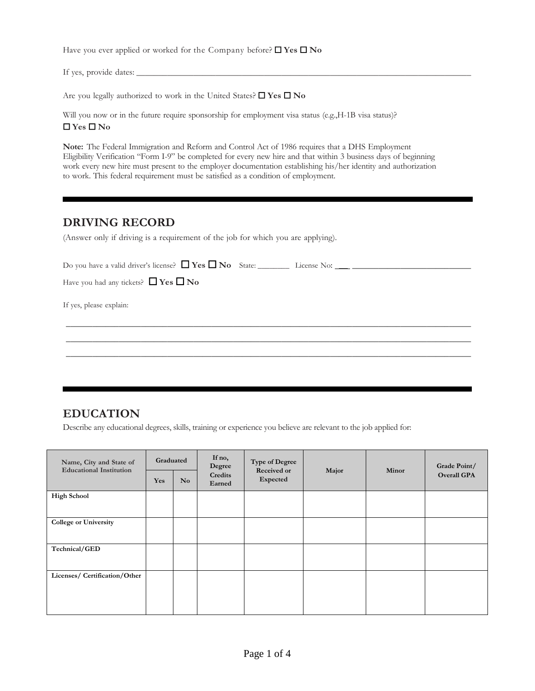Have you ever applied or worked for the Company before? ☐ **Yes** ☐ **No**

If yes, provide dates:

Are you legally authorized to work in the United States? ☐ **Yes** ☐ **No**

Will you now or in the future require sponsorship for employment visa status (e.g., H-1B visa status)? ☐ **Yes** ☐ **No**

**Note:** The Federal Immigration and Reform and Control Act of 1986 requires that a DHS Employment Eligibility Verification "Form I-9" be completed for every new hire and that within 3 business days of beginning work every new hire must present to the employer documentation establishing his/her identity and authorization to work. This federal requirement must be satisfied as a condition of employment.

### **DRIVING RECORD**

(Answer only if driving is a requirement of the job for which you are applying).

| Have you had any tickets? $\Box$ Yes $\Box$ No |  |  |
|------------------------------------------------|--|--|
| If yes, please explain:                        |  |  |
|                                                |  |  |

 $\_$  ,  $\_$  ,  $\_$  ,  $\_$  ,  $\_$  ,  $\_$  ,  $\_$  ,  $\_$  ,  $\_$  ,  $\_$  ,  $\_$  ,  $\_$  ,  $\_$  ,  $\_$  ,  $\_$  ,  $\_$  ,  $\_$  ,  $\_$  ,  $\_$  ,  $\_$  ,  $\_$  ,  $\_$  ,  $\_$  ,  $\_$  ,  $\_$  ,  $\_$  ,  $\_$  ,  $\_$  ,  $\_$  ,  $\_$  ,  $\_$  ,  $\_$  ,  $\_$  ,  $\_$  ,  $\_$  ,  $\_$  ,  $\_$  ,

### **EDUCATION**

Describe any educational degrees, skills, training or experience you believe are relevant to the job applied for:

| Name, City and State of<br><b>Educational Institution</b> | Graduated  |                | If no,<br>Degree  | <b>Type of Degree</b><br>Received or | Major | Minor | Grade Point/       |
|-----------------------------------------------------------|------------|----------------|-------------------|--------------------------------------|-------|-------|--------------------|
|                                                           | <b>Yes</b> | N <sub>o</sub> | Credits<br>Earned | Expected                             |       |       | <b>Overall GPA</b> |
| <b>High School</b>                                        |            |                |                   |                                      |       |       |                    |
| <b>College or University</b>                              |            |                |                   |                                      |       |       |                    |
| Technical/GED                                             |            |                |                   |                                      |       |       |                    |
| Licenses/ Certification/Other                             |            |                |                   |                                      |       |       |                    |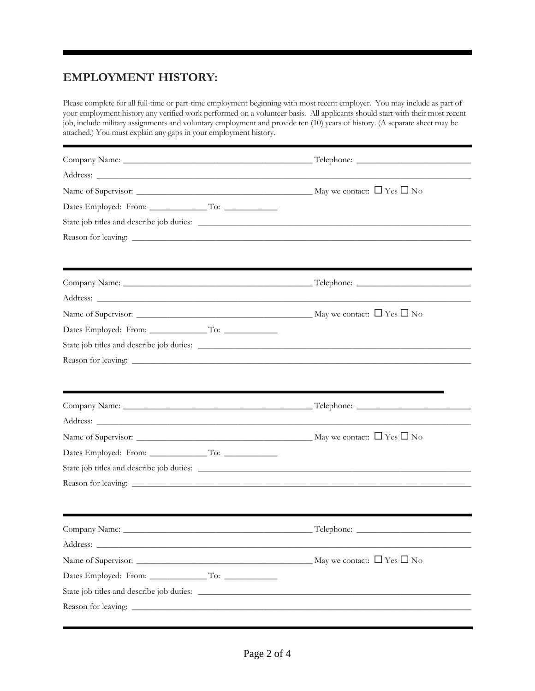# **EMPLOYMENT HISTORY:**

Please complete for all full-time or part-time employment beginning with most recent employer. You may include as part of your employment history any verified work performed on a volunteer basis. All applicants should start with their most recent job, include military assignments and voluntary employment and provide ten (10) years of history. (A separate sheet may be attached.) You must explain any gaps in your employment history.

| Address: National Address: National Address: National Address: National Address: National Address: N |                                      |
|------------------------------------------------------------------------------------------------------|--------------------------------------|
|                                                                                                      |                                      |
|                                                                                                      |                                      |
|                                                                                                      |                                      |
|                                                                                                      |                                      |
|                                                                                                      |                                      |
|                                                                                                      |                                      |
|                                                                                                      |                                      |
|                                                                                                      | May we contact: $\Box$ Yes $\Box$ No |
|                                                                                                      |                                      |
|                                                                                                      |                                      |
|                                                                                                      |                                      |
|                                                                                                      |                                      |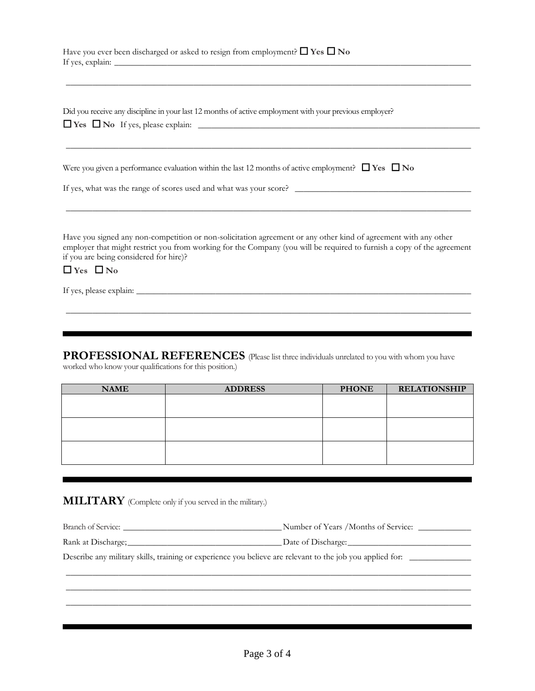| Have you ever been discharged or asked to resign from employment? $\Box$ Yes $\Box$ No |  |
|----------------------------------------------------------------------------------------|--|
| If yes, explain:                                                                       |  |

Did you receive any discipline in your last 12 months of active employment with your previous employer? ☐ **Yes** ☐ **No** If yes, please explain: \_\_\_\_\_\_\_\_\_\_\_\_\_\_\_\_\_\_\_\_\_\_\_\_\_\_\_\_\_\_\_\_\_\_\_\_\_\_\_\_\_\_\_\_\_\_\_\_\_\_\_\_\_\_\_\_\_\_\_\_\_\_\_\_

| Were you given a performance evaluation within the last 12 months of active employment? $\Box$ Yes $\Box$ No |  |  |  |  |  |  |  |  |  |  |  |
|--------------------------------------------------------------------------------------------------------------|--|--|--|--|--|--|--|--|--|--|--|
|--------------------------------------------------------------------------------------------------------------|--|--|--|--|--|--|--|--|--|--|--|

If yes, what was the range of scores used and what was your score? \_\_\_\_\_\_\_\_\_\_\_\_\_\_\_\_\_\_\_\_\_\_\_\_\_\_\_\_\_\_\_\_\_\_\_\_\_\_\_\_

Have you signed any non-competition or non-solicitation agreement or any other kind of agreement with any other employer that might restrict you from working for the Company (you will be required to furnish a copy of the agreement if you are being considered for hire)?

 $\_$  ,  $\_$  ,  $\_$  ,  $\_$  ,  $\_$  ,  $\_$  ,  $\_$  ,  $\_$  ,  $\_$  ,  $\_$  ,  $\_$  ,  $\_$  ,  $\_$  ,  $\_$  ,  $\_$  ,  $\_$  ,  $\_$  ,  $\_$  ,  $\_$  ,  $\_$  ,  $\_$  ,  $\_$  ,  $\_$  ,  $\_$  ,  $\_$  ,  $\_$  ,  $\_$  ,  $\_$  ,  $\_$  ,  $\_$  ,  $\_$  ,  $\_$  ,  $\_$  ,  $\_$  ,  $\_$  ,  $\_$  ,  $\_$  ,

 $\_$  ,  $\_$  ,  $\_$  ,  $\_$  ,  $\_$  ,  $\_$  ,  $\_$  ,  $\_$  ,  $\_$  ,  $\_$  ,  $\_$  ,  $\_$  ,  $\_$  ,  $\_$  ,  $\_$  ,  $\_$  ,  $\_$  ,  $\_$  ,  $\_$  ,  $\_$  ,  $\_$  ,  $\_$  ,  $\_$  ,  $\_$  ,  $\_$  ,  $\_$  ,  $\_$  ,  $\_$  ,  $\_$  ,  $\_$  ,  $\_$  ,  $\_$  ,  $\_$  ,  $\_$  ,  $\_$  ,  $\_$  ,  $\_$  ,

 $\_$  ,  $\_$  ,  $\_$  ,  $\_$  ,  $\_$  ,  $\_$  ,  $\_$  ,  $\_$  ,  $\_$  ,  $\_$  ,  $\_$  ,  $\_$  ,  $\_$  ,  $\_$  ,  $\_$  ,  $\_$  ,  $\_$  ,  $\_$  ,  $\_$  ,  $\_$  ,  $\_$  ,  $\_$  ,  $\_$  ,  $\_$  ,  $\_$  ,  $\_$  ,  $\_$  ,  $\_$  ,  $\_$  ,  $\_$  ,  $\_$  ,  $\_$  ,  $\_$  ,  $\_$  ,  $\_$  ,  $\_$  ,  $\_$  ,

 $\_$  ,  $\_$  ,  $\_$  ,  $\_$  ,  $\_$  ,  $\_$  ,  $\_$  ,  $\_$  ,  $\_$  ,  $\_$  ,  $\_$  ,  $\_$  ,  $\_$  ,  $\_$  ,  $\_$  ,  $\_$  ,  $\_$  ,  $\_$  ,  $\_$  ,  $\_$  ,  $\_$  ,  $\_$  ,  $\_$  ,  $\_$  ,  $\_$  ,  $\_$  ,  $\_$  ,  $\_$  ,  $\_$  ,  $\_$  ,  $\_$  ,  $\_$  ,  $\_$  ,  $\_$  ,  $\_$  ,  $\_$  ,  $\_$  ,

☐ **Yes** ☐ **No** 

If yes, please explain: \_\_\_\_\_\_\_\_\_\_\_\_\_\_\_\_\_\_\_\_\_\_\_\_\_\_\_\_\_\_\_\_\_\_\_\_\_\_\_\_\_\_\_\_\_\_\_\_\_\_\_\_\_\_\_\_\_\_\_\_\_\_\_\_\_\_\_\_\_\_\_\_\_\_\_\_

**PROFESSIONAL REFERENCES** (Please list three individuals unrelated to you with whom you have

worked who know your qualifications for this position.)

| <b>NAME</b> | <b>ADDRESS</b> | <b>PHONE</b> | <b>RELATIONSHIP</b> |
|-------------|----------------|--------------|---------------------|
|             |                |              |                     |
|             |                |              |                     |
|             |                |              |                     |
|             |                |              |                     |
|             |                |              |                     |
|             |                |              |                     |

**MILITARY** (Complete only if you served in the military.)

| Branch of Service:                                                                                        | Number of Years /Months of Service: |
|-----------------------------------------------------------------------------------------------------------|-------------------------------------|
| Rank at Discharge;                                                                                        | Date of Discharge:                  |
| Describe any military skills, training or experience you believe are relevant to the job you applied for: |                                     |

 $\_$  ,  $\_$  ,  $\_$  ,  $\_$  ,  $\_$  ,  $\_$  ,  $\_$  ,  $\_$  ,  $\_$  ,  $\_$  ,  $\_$  ,  $\_$  ,  $\_$  ,  $\_$  ,  $\_$  ,  $\_$  ,  $\_$  ,  $\_$  ,  $\_$  ,  $\_$  ,  $\_$  ,  $\_$  ,  $\_$  ,  $\_$  ,  $\_$  ,  $\_$  ,  $\_$  ,  $\_$  ,  $\_$  ,  $\_$  ,  $\_$  ,  $\_$  ,  $\_$  ,  $\_$  ,  $\_$  ,  $\_$  ,  $\_$  ,  $\_$  ,  $\_$  ,  $\_$  ,  $\_$  ,  $\_$  ,  $\_$  ,  $\_$  ,  $\_$  ,  $\_$  ,  $\_$  ,  $\_$  ,  $\_$  ,  $\_$  ,  $\_$  ,  $\_$  ,  $\_$  ,  $\_$  ,  $\_$  ,  $\_$  ,  $\_$  ,  $\_$  ,  $\_$  ,  $\_$  ,  $\_$  ,  $\_$  ,  $\_$  ,  $\_$  ,  $\_$  ,  $\_$  ,  $\_$  ,  $\_$  ,  $\_$  ,  $\_$  ,  $\_$  ,  $\_$  ,  $\_$  ,  $\_$  ,  $\_$  ,  $\_$  ,  $\_$  ,  $\_$  ,  $\_$  ,  $\_$  ,  $\_$  ,  $\_$  ,  $\_$  ,  $\_$  ,  $\_$  ,  $\_$  ,  $\_$  ,  $\_$  ,  $\_$  ,  $\_$  ,  $\_$  ,  $\_$  ,  $\_$  ,  $\_$  ,  $\_$  ,  $\_$  ,  $\_$  ,  $\_$  ,  $\_$  ,  $\_$  ,  $\_$  ,  $\_$  ,  $\_$  ,  $\_$  ,  $\_$  ,  $\_$  ,  $\_$  ,  $\_$  ,  $\_$  ,  $\_$  ,  $\_$  ,